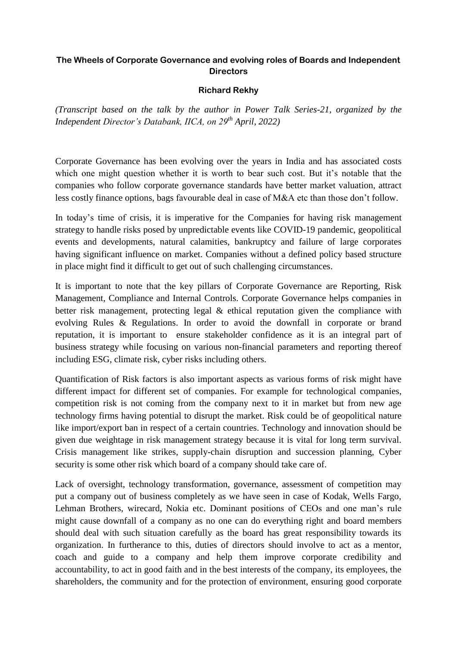## **The Wheels of Corporate Governance and evolving roles of Boards and Independent Directors**

## **Richard Rekhy**

*(Transcript based on the talk by the author in Power Talk Series-21, organized by the Independent Director's Databank, IICA, on 29th April, 2022)*

Corporate Governance has been evolving over the years in India and has associated costs which one might question whether it is worth to bear such cost. But it's notable that the companies who follow corporate governance standards have better market valuation, attract less costly finance options, bags favourable deal in case of M&A etc than those don't follow.

In today's time of crisis, it is imperative for the Companies for having risk management strategy to handle risks posed by unpredictable events like COVID-19 pandemic, geopolitical events and developments, natural calamities, bankruptcy and failure of large corporates having significant influence on market. Companies without a defined policy based structure in place might find it difficult to get out of such challenging circumstances.

It is important to note that the key pillars of Corporate Governance are Reporting, Risk Management, Compliance and Internal Controls. Corporate Governance helps companies in better risk management, protecting legal & ethical reputation given the compliance with evolving Rules & Regulations. In order to avoid the downfall in corporate or brand reputation, it is important to ensure stakeholder confidence as it is an integral part of business strategy while focusing on various non-financial parameters and reporting thereof including ESG, climate risk, cyber risks including others.

Quantification of Risk factors is also important aspects as various forms of risk might have different impact for different set of companies. For example for technological companies, competition risk is not coming from the company next to it in market but from new age technology firms having potential to disrupt the market. Risk could be of geopolitical nature like import/export ban in respect of a certain countries. Technology and innovation should be given due weightage in risk management strategy because it is vital for long term survival. Crisis management like strikes, supply-chain disruption and succession planning, Cyber security is some other risk which board of a company should take care of.

Lack of oversight, technology transformation, governance, assessment of competition may put a company out of business completely as we have seen in case of Kodak, Wells Fargo, Lehman Brothers, wirecard, Nokia etc. Dominant positions of CEOs and one man's rule might cause downfall of a company as no one can do everything right and board members should deal with such situation carefully as the board has great responsibility towards its organization. In furtherance to this, duties of directors should involve to act as a mentor, coach and guide to a company and help them improve corporate credibility and accountability, to act in good faith and in the best interests of the company, its employees, the shareholders, the community and for the protection of environment, ensuring good corporate